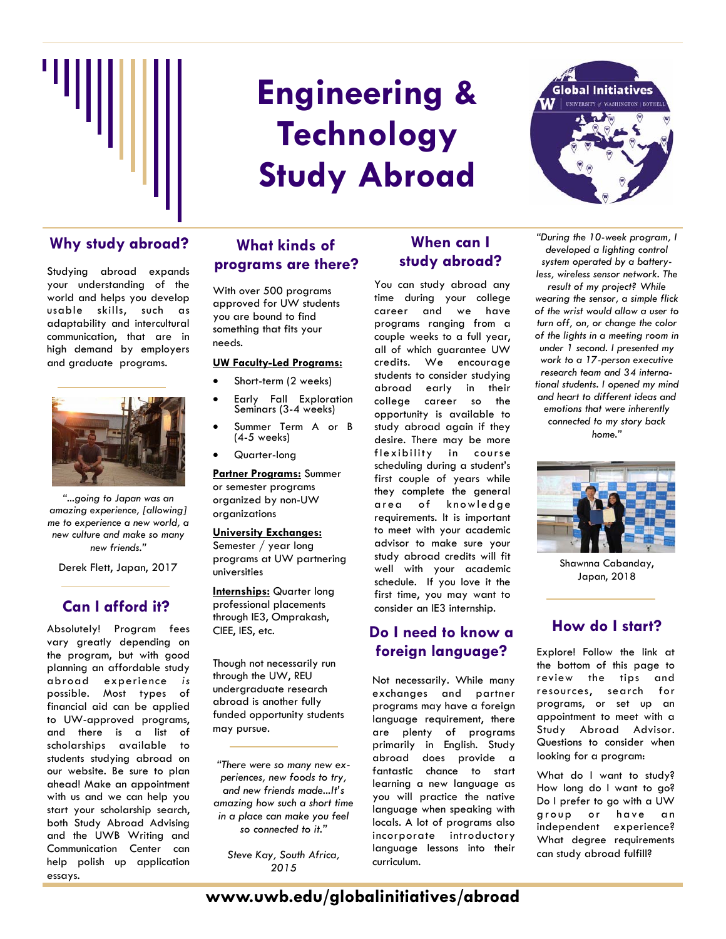

# **Engineering & Technology Study Abroad**

## Why study abroad? What kinds of **When can I**

Studying abroad expands your understanding of the world and helps you develop usable skills, such as adaptability and intercultural communication, that are in high demand by employers and graduate programs.



*"...going to Japan was an amazing experience, [allowing] me to experience a new world, a new culture and make so many new friends."* 

Derek Flett, Japan, 2017

## **Can I afford it?**

Absolutely! Program fees vary greatly depending on the program, but with good planning an affordable study abroad experience *is* possible. Most types of financial aid can be applied to UW-approved programs, and there is a list of scholarships available to students studying abroad on our website. Be sure to plan ahead! Make an appointment with us and we can help you start your scholarship search, both Study Abroad Advising and the UWB Writing and Communication Center can help polish up application essays.

## **What kinds of programs are there?**

With over 500 programs approved for UW students you are bound to find something that fits your needs.

#### **UW Faculty-Led Programs:**

- Short-term (2 weeks)
- Early Fall Exploration Seminars (3-4 weeks)
- Summer Term A or B (4-5 weeks)
- Quarter-long

**Partner Programs:** Summer or semester programs organized by non-UW organizations

### **University Exchanges:**

Semester / year long programs at UW partnering universities

**Internships:** Quarter long professional placements through IE3, Omprakash, CIEE, IES, etc.

Though not necessarily run through the UW, REU undergraduate research abroad is another fully funded opportunity students may pursue.

*"There were so many new experiences, new foods to try, and new friends made...It's amazing how such a short time in a place can make you feel so connected to it."* 

*Steve Kay, South Africa, 2015*

# **study abroad?**

You can study abroad any time during your college career and we have programs ranging from a couple weeks to a full year, all of which guarantee UW credits. We encourage students to consider studying abroad early in their college career so the opportunity is available to study abroad again if they desire. There may be more flexibility in course scheduling during a student's first couple of years while they complete the general area of knowledge requirements. It is important to meet with your academic advisor to make sure your study abroad credits will fit well with your academic schedule. If you love it the first time, you may want to consider an IE3 internship.

# **Do I need to know a foreign language?**

Not necessarily. While many exchanges and partner programs may have a foreign language requirement, there are plenty of programs primarily in English. Study abroad does provide a fantastic chance to start learning a new language as you will practice the native language when speaking with locals. A lot of programs also incorporate introductory language lessons into their curriculum.



*"During the 10-week program, I developed a lighting control system operated by a batteryless, wireless sensor network. The* 

*result of my project? While wearing the sensor, a simple flick of the wrist would allow a user to turn off, on, or change the color of the lights in a meeting room in under 1 second. I presented my work to a 17-person executive research team and 34 international students. I opened my mind and heart to different ideas and emotions that were inherently connected to my story back home."* 



Shawnna Cabanday, Japan, 2018

## **How do I start?**

Explore! Follow the link at the bottom of this page to review the tips and resources, search for programs, or set up an appointment to meet with a Study Abroad Advisor. Questions to consider when looking for a program:

What do I want to study? How long do I want to go? Do I prefer to go with a UW group or have an independent experience? What degree requirements can study abroad fulfill?